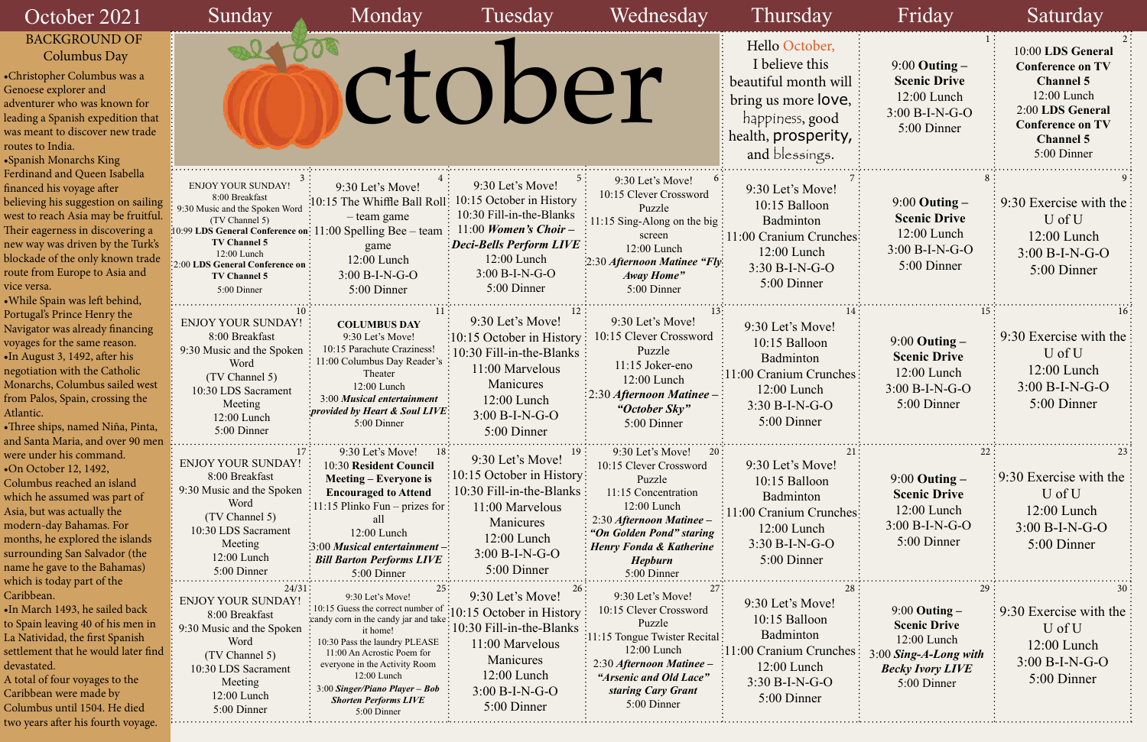| 11<br>≧,<br>7,        | $9:00$ Outing $-$<br><b>Scenic Drive</b><br>12:00 Lunch<br>$3:00 B-I-N-G-O$<br>5:00 Dinner                                       | 10:00 LDS General<br><b>Conference on TV</b><br><b>Channel 5</b><br>12:00 Lunch<br>2:00 LDS General<br><b>Conference on TV</b><br><b>Channel 5</b><br>5:00 Dinner |
|-----------------------|----------------------------------------------------------------------------------------------------------------------------------|-------------------------------------------------------------------------------------------------------------------------------------------------------------------|
| $\overline{7}$<br>ies | 8<br>$9:00$ Outing $-$<br><b>Scenic Drive</b><br>12:00 Lunch<br>$3:00 B-I-N-G-O$<br>5:00 Dinner                                  | 9<br>9:30 Exercise with the<br>U of U<br>12:00 Lunch<br>$3:00 B-I-N-G-O$<br>5:00 Dinner                                                                           |
| 14<br>es              | 15<br>$9:00$ Outing $-$<br><b>Scenic Drive</b><br>12:00 Lunch<br>$3:00 B-I-N-G-O$<br>5:00 Dinner                                 | 16<br>9:30 Exercise with the<br>U of U<br>12:00 Lunch<br>$3:00 B-I-N-G-O$<br>5:00 Dinner                                                                          |
| 21:<br>ies            | 22<br>$9:00$ Outing $-$<br><b>Scenic Drive</b><br>12:00 Lunch<br>$3:00 B-I-N-G-O$<br>5:00 Dinner                                 | 23<br>9:30 Exercise with the<br>U of U<br>12:00 Lunch<br>$3:00 B-I-N-G-O$<br>5:00 Dinner                                                                          |
| 28<br>es              | 29<br>$9:00$ Outing $-$<br><b>Scenic Drive</b><br>12:00 Lunch<br>3:00 Sing-A-Long with<br><b>Becky Ivory LIVE</b><br>5:00 Dinner | 30<br>9:30 Exercise with the<br>U of U<br>$12:00$ Lunch<br>$3:00 B-I-N-G-O$<br>5:00 Dinner                                                                        |

| October 2021                                                                                                                                                                                                                                                                                                                          | Sunday                                                                                                                                                                                                                                             | Monday                                                                                                                                                                                                                                                                                                      | Tuesday                                                                                                                                                                                               | Wednesday                                                                                                                                                                                                                 | Thursday                                                                                                                                    | Friday                                                                                                                       | Saturday                                                                                                                                                          |
|---------------------------------------------------------------------------------------------------------------------------------------------------------------------------------------------------------------------------------------------------------------------------------------------------------------------------------------|----------------------------------------------------------------------------------------------------------------------------------------------------------------------------------------------------------------------------------------------------|-------------------------------------------------------------------------------------------------------------------------------------------------------------------------------------------------------------------------------------------------------------------------------------------------------------|-------------------------------------------------------------------------------------------------------------------------------------------------------------------------------------------------------|---------------------------------------------------------------------------------------------------------------------------------------------------------------------------------------------------------------------------|---------------------------------------------------------------------------------------------------------------------------------------------|------------------------------------------------------------------------------------------------------------------------------|-------------------------------------------------------------------------------------------------------------------------------------------------------------------|
| <b>BACKGROUND OF</b><br>Columbus Day<br>•Christopher Columbus was a<br>Genoese explorer and<br>adventurer who was known for<br>leading a Spanish expedition that<br>was meant to discover new trade<br>routes to India.<br>•Spanish Monarchs King                                                                                     |                                                                                                                                                                                                                                                    |                                                                                                                                                                                                                                                                                                             | ctober                                                                                                                                                                                                |                                                                                                                                                                                                                           | Hello October,<br>I believe this<br>beautiful month will<br>bring us more love,<br>happiness, good<br>health, prosperity,<br>and blessings. | $9:00$ Outing $-$<br><b>Scenic Drive</b><br>12:00 Lunch<br>$3:00 B-I-N-G-O$<br>5:00 Dinner                                   | 10:00 LDS General<br><b>Conference on TV</b><br><b>Channel 5</b><br>12:00 Lunch<br>2:00 LDS General<br><b>Conference on TV</b><br><b>Channel 5</b><br>5:00 Dinner |
| Ferdinand and Queen Isabella<br>financed his voyage after<br>believing his suggestion on sailing<br>west to reach Asia may be fruitful.<br>Their eagerness in discovering a<br>new way was driven by the Turk's<br>blockade of the only known trade<br>route from Europe to Asia and<br>vice versa.<br>. While Spain was left behind, | <b>ENJOY YOUR SUNDAY!</b><br>8:00 Breakfast<br>9:30 Music and the Spoken Word<br>(TV Channel 5)<br>10:99 LDS General Conference on:<br><b>TV Channel 5</b><br>12:00 Lunch<br>:2:00 LDS General Conference on<br><b>TV Channel 5</b><br>5:00 Dinner | 9:30 Let's Move!<br>10:15 The Whiffle Ball Roll:<br>- team game<br>$11:00$ Spelling Bee – team<br>game<br>12:00 Lunch<br>$3:00 B-I-N-G-O$<br>5:00 Dinner                                                                                                                                                    | 9:30 Let's Move!<br>1:15 October in History<br>10:30 Fill-in-the-Blanks<br>$11:00$ Women's Choir –<br>$\mathbf{E}$ Deci-Bells Perform LIVE:<br>12:00 Lunch<br>$3:00 B-I-N-G-O$<br>5:00 Dinner         | 9:30 Let's Move!<br>10:15 Clever Crossword<br>Puzzle<br>11:15 Sing-Along on the big:<br>screen<br>12:00 Lunch<br>2:30 Afternoon Matinee "Fly:<br>Away Home"<br>5:00 Dinner                                                | 9:30 Let's Move!<br>10:15 Balloon<br>Badminton<br>: 11:00 Cranium Crunches:<br>12:00 Lunch<br>$3:30 B-I-N-G-O$<br>5:00 Dinner               | $9:00$ Outing $-$<br><b>Scenic Drive</b><br>12:00 Lunch<br>$3:00 B-I-N-G-O$<br>5:00 Dinner                                   | 9:30 Exercise with the<br>U of U<br>12:00 Lunch<br>$3:00 B-I-N-G-O$<br>5:00 Dinner                                                                                |
| Portugal's Prince Henry the<br>Navigator was already financing<br>voyages for the same reason.<br>•In August 3, 1492, after his<br>negotiation with the Catholic<br>Monarchs, Columbus sailed west<br>from Palos, Spain, crossing the<br>Atlantic.<br>• Three ships, named Niña, Pinta,<br>and Santa Maria, and over 90 men           | <b>ENJOY YOUR SUNDAY!</b><br>8:00 Breakfast<br>9:30 Music and the Spoken<br>Word<br>(TV Channel 5)<br>10:30 LDS Sacrament<br>Meeting<br>12:00 Lunch<br>5:00 Dinner                                                                                 | <b>COLUMBUS DAY</b><br>9:30 Let's Move!<br>10:15 Parachute Craziness!<br>11:00 Columbus Day Reader's<br>Theater<br>12:00 Lunch<br>3:00 Musical entertainment<br>provided by Heart & Soul LIVE:<br>5:00 Dinner                                                                                               | 9:30 Let's Move!<br>$\frac{10:15}{ }$ October in History:<br>$\frac{1}{2}$ 10:30 Fill-in-the-Blanks $\frac{1}{2}$<br>11:00 Marvelous<br>Manicures<br>$12:00$ Lunch<br>$3:00 B-I-N-G-O$<br>5:00 Dinner | 9:30 Let's Move!<br>0:15 Clever Crossword<br>Puzzle<br>$11:15$ Joker-eno<br>12:00 Lunch<br>2:30 Afternoon Matinee -<br>"October Sky"<br>5:00 Dinner                                                                       | 9:30 Let's Move!<br>10:15 Balloon<br>Badminton<br>11:00 Cranium Crunches:<br>$12:00$ Lunch<br>$3:30 B-I-N-G-O$<br>5:00 Dinner               | $9:00$ Outing $-$<br><b>Scenic Drive</b><br>12:00 Lunch<br>$3:00 B-I-N-G-O$<br>5:00 Dinner                                   | 9:30 Exercise with the<br>U of U<br>$12:00$ Lunch<br>$3:00 B-I-N-G-O$<br>5:00 Dinner                                                                              |
| were under his command.<br>•On October 12, 1492,<br>Columbus reached an island<br>which he assumed was part of<br>Asia, but was actually the<br>modern-day Bahamas. For<br>months, he explored the islands<br>surrounding San Salvador (the<br>name he gave to the Bahamas)<br>which is today part of the                             | <b>ENJOY YOUR SUNDAY!</b><br>8:00 Breakfast<br>9:30 Music and the Spoken<br>Word<br>(TV Channel 5)<br>10:30 LDS Sacrament<br>Meeting<br>12:00 Lunch<br>5:00 Dinner                                                                                 | 9:30 Let's Move!<br>18;<br>10:30 Resident Council<br><b>Meeting – Everyone is</b><br><b>Encouraged to Attend</b><br>: 11:15 Plinko Fun – prizes for :<br>12:00 Lunch<br>:3:00 Musical entertainment-<br><b>Bill Barton Performs LIVE</b><br>5:00 Dinner                                                     | 19:<br>9:30 Let's Move!<br>$\frac{1}{2}10:15$ October in History:<br>10:30 Fill-in-the-Blanks:<br>11:00 Marvelous<br>Manicures<br>$12:00$ Lunch<br>$3:00 B-I-N-G-O$<br>5:00 Dinner                    | 9:30 Let's Move!<br>20:<br>10:15 Clever Crossword<br>Puzzle<br>11:15 Concentration<br>12:00 Lunch<br>2:30 Afternoon Matinee -<br>"On Golden Pond" staring<br><b>Henry Fonda &amp; Katherine</b><br>Hepburn<br>5:00 Dinner | 9:30 Let's Move!<br>10:15 Balloon<br>Badminton<br>11:00 Cranium Crunches:<br>12:00 Lunch<br>$3:30 B-I-N-G-O$<br>5:00 Dinner                 | $9:00$ Outing $-$<br><b>Scenic Drive</b><br>$12:00$ Lunch<br>$3:00 B-I-N-G-O$<br>5:00 Dinner                                 | $\approx 9.30$ Exercise with the<br>U of U<br>$12:00$ Lunch<br>$3:00 B-I-N-G-O$<br>5:00 Dinner                                                                    |
| Caribbean.<br>•In March 1493, he sailed back<br>to Spain leaving 40 of his men in<br>La Natividad, the first Spanish<br>settlement that he would later find<br>devastated.<br>A total of four voyages to the<br>Caribbean were made by<br>Columbus until 1504. He died<br>two years after his fourth voyage.                          | 24/31<br><b>ENJOY YOUR SUNDAY!</b><br>8:00 Breakfast<br>9:30 Music and the Spoken<br>Word<br>(TV Channel 5)<br>10:30 LDS Sacrament<br>Meeting<br>12:00 Lunch<br>5:00 Dinner                                                                        | 9:30 Let's Move!<br>: 10:15 Guess the correct number of<br>candy corn in the candy jar and take<br>it home!<br>10:30 Pass the laundry PLEASE<br>11:00 An Acrostic Poem for<br>everyone in the Activity Room<br>12:00 Lunch<br>3:00 Singer/Piano Player - Bob<br><b>Shorten Performs LIVE</b><br>5:00 Dinner | 9:30 Let's Move!<br>$\frac{10:15}{ }$ October in History<br>$\pm 10:30$ Fill-in-the-Blanks<br>11:00 Marvelous<br>Manicures<br>12:00 Lunch<br>$3:00 B-I-N-G-O$<br>5:00 Dinner                          | 9:30 Let's Move!<br>0:15 Clever Crossword<br>Puzzle<br>11:15 Tongue Twister Recital:<br>12:00 Lunch<br>2:30 Afternoon Matinee -<br>"Arsenic and Old Lace"<br>staring Cary Grant<br>5:00 Dinner                            | 9:30 Let's Move!<br>10:15 Balloon<br>Badminton<br>:11:00 Cranium Crunches<br>12:00 Lunch<br>$3:30 B-I-N-G-O$<br>5:00 Dinner                 | $9:00$ Outing $-$<br><b>Scenic Drive</b><br>12:00 Lunch<br>$3:00$ Sing-A-Long with<br><b>Becky Ivory LIVE</b><br>5:00 Dinner | 9:30 Exercise with the<br>U of U<br>12:00 Lunch<br>$3:00 B-I-N-G-O$<br>5:00 Dinner                                                                                |